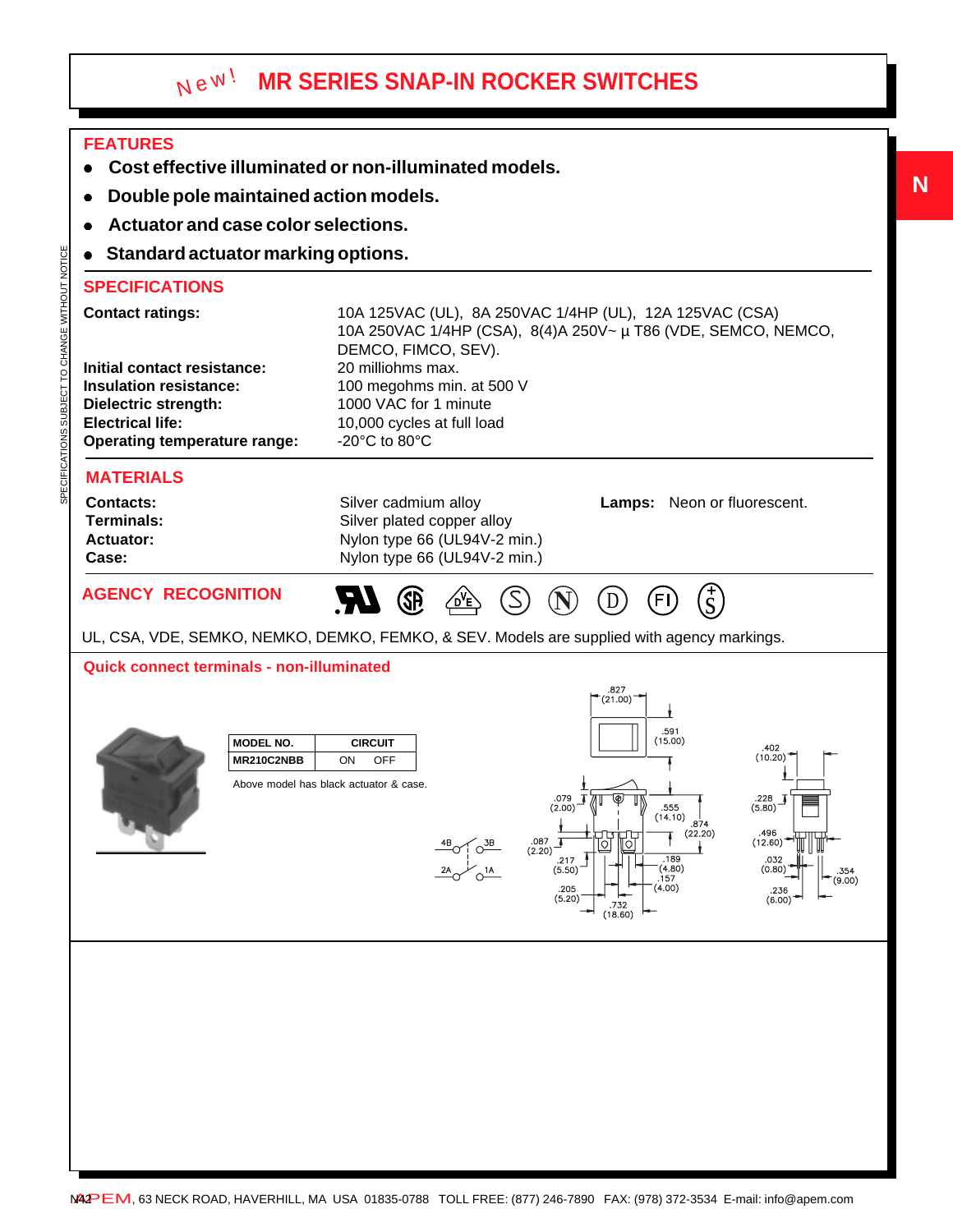# **MR SERIES SNAP-IN ROCKER SWITCHES** New!

## **FEATURES**

- <sup>z</sup>**Cost effective illuminated or non-illuminated models.**
- <sup>z</sup>**Double pole maintained action models.**
- <sup>z</sup>**Actuator and case color selections.**
- **Standard actuator marking options.**

### **SPECIFICATIONS**

| <b>Contact ratings:</b>             | 10A 125VAC (UL), 8A 250VAC 1/4HP (UL), 12A 125VAC (CSA)       |  |  |
|-------------------------------------|---------------------------------------------------------------|--|--|
|                                     | 10A 250VAC 1/4HP (CSA), 8(4)A 250V~ µ T86 (VDE, SEMCO, NEMCO, |  |  |
|                                     | DEMCO, FIMCO, SEV).                                           |  |  |
| Initial contact resistance:         | 20 milliohms max.                                             |  |  |
| <b>Insulation resistance:</b>       | 100 megohms min. at 500 V                                     |  |  |
| Dielectric strength:                | 1000 VAC for 1 minute                                         |  |  |
| <b>Electrical life:</b>             | 10,000 cycles at full load                                    |  |  |
| <b>Operating temperature range:</b> | $-20^{\circ}$ C to 80 $^{\circ}$ C                            |  |  |
|                                     |                                                               |  |  |

### **MATERIALS**

SPECIFICATIONS SUBJECT TO CHANGE WITHOUT NOTICE

SPECIFICATIONS SUBJECT TO CHANGE WITHOUT NOTICE

| <b>Contacts:</b> | Silver cadmium alloy           | <b>Lamps:</b> Neon or fluorescent. |
|------------------|--------------------------------|------------------------------------|
| Terminals:       | Silver plated copper alloy     |                                    |
| <b>Actuator:</b> | Nylon type 66 (UL94V-2 min.)   |                                    |
| Case:            | Nylon type $66$ (UL94V-2 min.) |                                    |
|                  |                                |                                    |

## **AGENCY RECOGNITION**

UL, CSA, VDE, SEMKO, NEMKO, DEMKO, FEMKO, & SEV. Models are supplied with agency markings.

 $\mathbb{Z} \circledast \mathbb{Z}$ 

### **Quick connect terminals - non-illuminated**



 $(D)$  (FI)  $\binom{+}{S}$